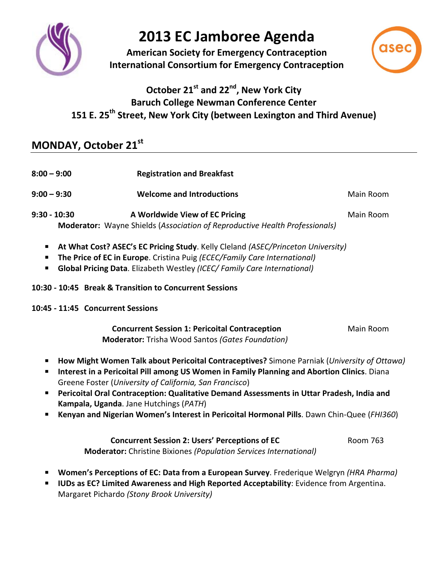

# **2013 EC Jamboree Agenda**

**American Society for Emergency Contraception International Consortium for Emergency Contraception**



### **October 21st and 22nd, New York City Baruch College Newman Conference Center 151 E. 25th Street, New York City (between Lexington and Third Avenue)**

## **MONDAY, October 21st**

| $8:00 - 9:00$  | <b>Registration and Breakfast</b>                                                                             |           |
|----------------|---------------------------------------------------------------------------------------------------------------|-----------|
| $9:00 - 9:30$  | <b>Welcome and Introductions</b>                                                                              | Main Room |
| $9:30 - 10:30$ | A Worldwide View of EC Pricing<br>Moderator: Wayne Shields (Association of Reproductive Health Professionals) | Main Room |

- **At What Cost? ASEC's EC Pricing Study**. Kelly Cleland *(ASEC/Princeton University)*
- **The Price of EC in Europe**. Cristina Puig *(ECEC/Family Care International)*
- **Global Pricing Data**. Elizabeth Westley *(ICEC/ Family Care International)*
- **10:30 - 10:45 Break & Transition to Concurrent Sessions**
- **10:45 - 11:45 Concurrent Sessions**

| <b>Concurrent Session 1: Pericoital Contraception</b>   | Main Room |
|---------------------------------------------------------|-----------|
| <b>Moderator:</b> Trisha Wood Santos (Gates Foundation) |           |

- **How Might Women Talk about Pericoital Contraceptives?** Simone Parniak (*University of Ottawa)*
- **Interest in a Pericoital Pill among US Women in Family Planning and Abortion Clinics**. Diana Greene Foster (*University of California, San Francisco*)
- **Pericoital Oral Contraception: Qualitative Demand Assessments in Uttar Pradesh, India and Kampala, Uganda**. Jane Hutchings (*PATH*)
- **Kenyan and Nigerian Women's Interest in Pericoital Hormonal Pills**. Dawn Chin-Quee (*FHI360*)

**Concurrent Session 2: Users' Perceptions of EC** Room 763 **Moderator:** Christine Bixiones *(Population Services International)*

- **Women's Perceptions of EC: Data from a European Survey**. Frederique Welgryn *(HRA Pharma)*
- **IUDs as EC? Limited Awareness and High Reported Acceptability**: Evidence from Argentina. Margaret Pichardo *(Stony Brook University)*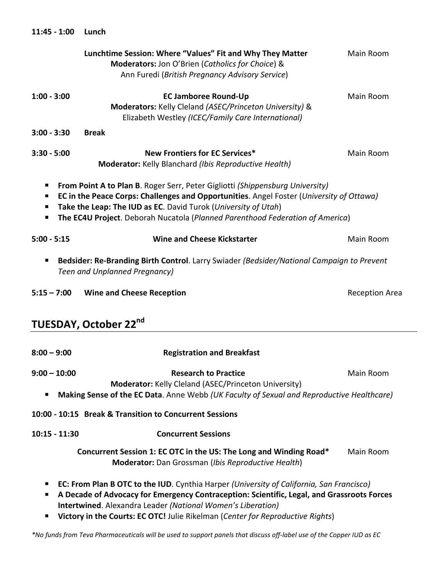|                     | Lunchtime Session: Where "Values" Fit and Why They Matter<br>Moderators: Jon O'Brien (Catholics for Choice) &<br>Ann Furedi (British Pregnancy Advisory Service)                                                                                                                                                                    | Main Room             |
|---------------------|-------------------------------------------------------------------------------------------------------------------------------------------------------------------------------------------------------------------------------------------------------------------------------------------------------------------------------------|-----------------------|
| $1:00 - 3:00$       | <b>EC Jamboree Round-Up</b><br>Moderators: Kelly Cleland (ASEC/Princeton University) &<br>Elizabeth Westley (ICEC/Family Care International)                                                                                                                                                                                        | Main Room             |
| $3:00 - 3:30$       | <b>Break</b>                                                                                                                                                                                                                                                                                                                        |                       |
| $3:30 - 5:00$       | <b>New Frontiers for EC Services*</b><br><b>Moderator:</b> Kelly Blanchard (Ibis Reproductive Health)                                                                                                                                                                                                                               | Main Room             |
| п<br>п              | <b>From Point A to Plan B. Roger Serr, Peter Gigliotti (Shippensburg University)</b><br>EC in the Peace Corps: Challenges and Opportunities. Angel Foster (University of Ottawa)<br>Take the Leap: The IUD as EC. David Turok (University of Utah)<br>The EC4U Project. Deborah Nucatola (Planned Parenthood Federation of America) |                       |
| $5:00 - 5:15$       | <b>Wine and Cheese Kickstarter</b>                                                                                                                                                                                                                                                                                                  | Main Room             |
| п                   | Bedsider: Re-Branding Birth Control. Larry Swiader (Bedsider/National Campaign to Prevent<br>Teen and Unplanned Pregnancy)                                                                                                                                                                                                          |                       |
| $5:15 - 7:00$       | <b>Wine and Cheese Reception</b>                                                                                                                                                                                                                                                                                                    | <b>Reception Area</b> |
|                     | TUESDAY, October 22 <sup>nd</sup>                                                                                                                                                                                                                                                                                                   |                       |
| $8:00 - 9:00$       | <b>Registration and Breakfast</b>                                                                                                                                                                                                                                                                                                   |                       |
| $9:00 - 10:00$<br>п | <b>Research to Practice</b><br>Moderator: Kelly Cleland (ASEC/Princeton University)<br>Making Sense of the EC Data. Anne Webb (UK Faculty of Sexual and Reproductive Healthcare)                                                                                                                                                    | Main Room             |
|                     | 10:00 - 10:15 Break & Transition to Concurrent Sessions                                                                                                                                                                                                                                                                             |                       |
| 10:15 - 11:30       | <b>Concurrent Sessions</b>                                                                                                                                                                                                                                                                                                          |                       |
|                     | Concurrent Session 1: EC OTC in the US: The Long and Winding Road*<br>Moderator: Dan Grossman (Ibis Reproductive Health)                                                                                                                                                                                                            | Main Room             |
| ш                   | <b>EC: From Plan B OTC to the IUD</b> . Cynthia Harper (University of California, San Francisco)<br>A Decade of Advocacy for Emergency Contraception: Scientific, Legal, and Grassroots Forces<br>Intertwined. Alexandra Leader (National Women's Liberation)                                                                       |                       |

**11:45 - 1:00 Lunch**

**Victory in the Courts: EC OTC!** Julie Rikelman (*Center for Reproductive Rights*)

*\*No funds from Teva Pharmaceuticals will be used to support panels that discuss off-label use of the Copper IUD as EC*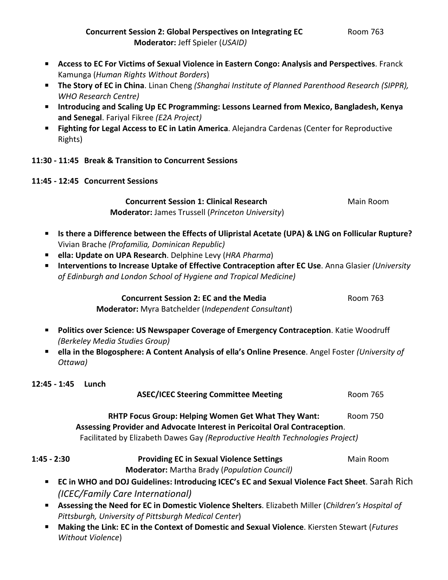- **Access to EC For Victims of Sexual Violence in Eastern Congo: Analysis and Perspectives**. Franck Kamunga (*Human Rights Without Borders*)
- **The Story of EC in China**. Linan Cheng *(Shanghai Institute of Planned Parenthood Research (SIPPR), WHO Research Centre)*
- **Introducing and Scaling Up EC Programming: Lessons Learned from Mexico, Bangladesh, Kenya and Senegal**. Fariyal Fikree *(E2A Project)*
- **Fighting for Legal Access to EC in Latin America**. Alejandra Cardenas (Center for Reproductive Rights)

#### **11:30 - 11:45 Break & Transition to Concurrent Sessions**

**11:45 - 12:45 Concurrent Sessions**

**Concurrent Session 1: Clinical Research Main Room Moderator:** James Trussell (*Princeton University*)

- **Is there a Difference between the Effects of Ulipristal Acetate (UPA) & LNG on Follicular Rupture?** Vivian Brache *(Profamilia, Dominican Republic)*
- **ella: Update on UPA Research**. Delphine Levy (*HRA Pharma*)
- **Interventions to Increase Uptake of Effective Contraception after EC Use**. Anna Glasier *(University of Edinburgh and London School of Hygiene and Tropical Medicine)*

**Concurrent Session 2: EC and the Media** Media Room 763  **Moderator:** Myra Batchelder (*Independent Consultant*)

- **Politics over Science: US Newspaper Coverage of Emergency Contraception**. Katie Woodruff *(Berkeley Media Studies Group)*
- **ella in the Blogosphere: A Content Analysis of ella's Online Presence**. Angel Foster *(University of Ottawa)*

**12:45 - 1:45 Lunch ASEC/ICEC Steering Committee Meeting**  Room 765 **RHTP Focus Group: Helping Women Get What They Want:** Room 750  **Assessing Provider and Advocate Interest in Pericoital Oral Contraception**. Facilitated by Elizabeth Dawes Gay *(Reproductive Health Technologies Project)* **1:45 - 2:30 Providing EC in Sexual Violence Settings** Main Room  **Moderator:** Martha Brady (*Population Council)* **EC in WHO and DOJ Guidelines: Introducing ICEC's EC and Sexual Violence Fact Sheet**. Sarah Rich *(ICEC/Family Care International)* **Assessing the Need for EC in Domestic Violence Shelters**. Elizabeth Miller (*Children's Hospital of Pittsburgh, University of Pittsburgh Medical Center*)

 **Making the Link: EC in the Context of Domestic and Sexual Violence**. Kiersten Stewart (*Futures Without Violence*)